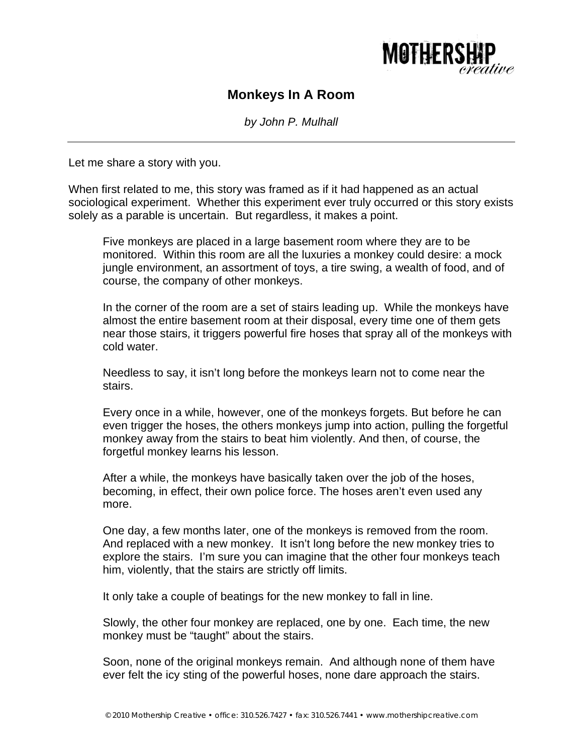

## **Monkeys In A Room**

*by John P. Mulhall* 

Let me share a story with you.

When first related to me, this story was framed as if it had happened as an actual sociological experiment. Whether this experiment ever truly occurred or this story exists solely as a parable is uncertain. But regardless, it makes a point.

Five monkeys are placed in a large basement room where they are to be monitored. Within this room are all the luxuries a monkey could desire: a mock jungle environment, an assortment of toys, a tire swing, a wealth of food, and of course, the company of other monkeys.

In the corner of the room are a set of stairs leading up. While the monkeys have almost the entire basement room at their disposal, every time one of them gets near those stairs, it triggers powerful fire hoses that spray all of the monkeys with cold water.

Needless to say, it isn't long before the monkeys learn not to come near the stairs.

Every once in a while, however, one of the monkeys forgets. But before he can even trigger the hoses, the others monkeys jump into action, pulling the forgetful monkey away from the stairs to beat him violently. And then, of course, the forgetful monkey learns his lesson.

After a while, the monkeys have basically taken over the job of the hoses, becoming, in effect, their own police force. The hoses aren't even used any more.

One day, a few months later, one of the monkeys is removed from the room. And replaced with a new monkey. It isn't long before the new monkey tries to explore the stairs. I'm sure you can imagine that the other four monkeys teach him, violently, that the stairs are strictly off limits.

It only take a couple of beatings for the new monkey to fall in line.

Slowly, the other four monkey are replaced, one by one. Each time, the new monkey must be "taught" about the stairs.

Soon, none of the original monkeys remain. And although none of them have ever felt the icy sting of the powerful hoses, none dare approach the stairs.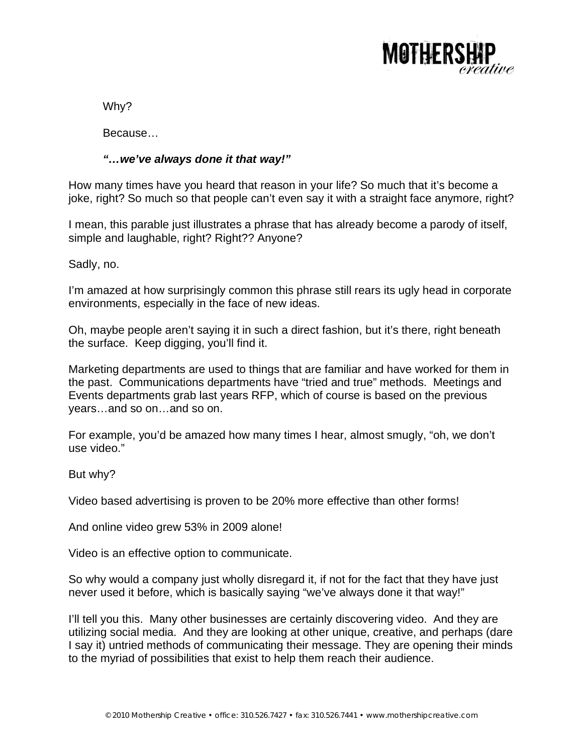

Why?

Because…

## *"…we've always done it that way!"*

How many times have you heard that reason in your life? So much that it's become a joke, right? So much so that people can't even say it with a straight face anymore, right?

I mean, this parable just illustrates a phrase that has already become a parody of itself, simple and laughable, right? Right?? Anyone?

Sadly, no.

I'm amazed at how surprisingly common this phrase still rears its ugly head in corporate environments, especially in the face of new ideas.

Oh, maybe people aren't saying it in such a direct fashion, but it's there, right beneath the surface. Keep digging, you'll find it.

Marketing departments are used to things that are familiar and have worked for them in the past. Communications departments have "tried and true" methods. Meetings and Events departments grab last years RFP, which of course is based on the previous years…and so on…and so on.

For example, you'd be amazed how many times I hear, almost smugly, "oh, we don't use video."

But why?

Video based advertising is proven to be 20% more effective than other forms!

And online video grew 53% in 2009 alone!

Video is an effective option to communicate.

So why would a company just wholly disregard it, if not for the fact that they have just never used it before, which is basically saying "we've always done it that way!"

I'll tell you this. Many other businesses are certainly discovering video. And they are utilizing social media. And they are looking at other unique, creative, and perhaps (dare I say it) untried methods of communicating their message. They are opening their minds to the myriad of possibilities that exist to help them reach their audience.